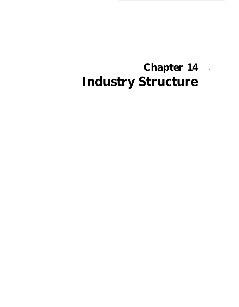# **Chapter 14** \***Industry Structure**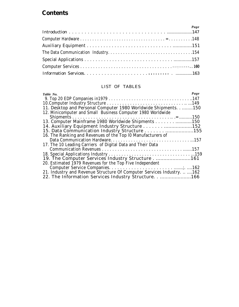### **Contents**

| Page |
|------|
|      |
|      |
|      |
|      |
|      |
|      |
|      |

#### LIST OF TABLES

| Page<br>Table No.                                                      |
|------------------------------------------------------------------------|
|                                                                        |
|                                                                        |
| 11. Desktop and Personal Computer 1980 Worldwide Shipments 150         |
| 12. Minicomputer and Small Business Computer 1980 Worldwide            |
|                                                                        |
|                                                                        |
|                                                                        |
|                                                                        |
| 16. The Ranking and Revenues of the Top 10 Manufacturers of            |
|                                                                        |
| 17. The 10 Leading Carriers of Digital Data and Their Data             |
|                                                                        |
|                                                                        |
| 19. The Computer Services Industry Structure161                        |
| 20. Estimated 1979 Revenues for the Top Five Independent               |
|                                                                        |
| 21. Industry and Revenue Structure Of Computer Services Industry.  162 |
| 22. The Information Services Industry Structure166                     |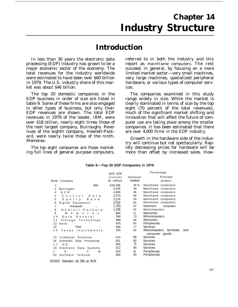## **Chapter 14 Industry Structure**

## **Introduction**

In less than 30 years the electronic data processing (EDP) industry has grown to be a major economic sector of the economy. The total revenues for the industry worldwide were estimated to have been over \$60 billion in 1979. The U.S. industry share of this market was about \$46 billion.

The top 20 domestic companies in the EDP business in order of size are listed in table 9. Some of these firms are also engaged in other types of business, but only their EDP revenues are shown. The total EDP revenues in 1979 of the leader, IBM, were over \$18 billion, nearly eight times those of the next largest company, Burroughs. Revenues of the eighth company, Hewlett-Packard, were nearly twice those of the ninth, Memorex.

The top eight companies are those marketing full lines of general purpose computers,

referred to in both the industry and this report as *mainframe computers.* The rest succeed, in general, by focusing on a more limited market sector—very small machines, very large machines, specialized peripheral hardware, or various types of computer services.

The companies examined in this study range widely in size. While the market is clearly dominated in terms of size by the top eight (70 percent of the total revenues), much of the significant market shifting and innovation that will affect the future of computer use are taking place among the smaller companies. It has been estimated that there are over 4,000 firms in the EDP industry.

Growth in the hardware side of the industry will continue but not spectacularly. Rapidly decreasing prices for hardware will be more than offset by increased sales. How-

|                | Rank Company                           |                   | 1979 EDP<br>revenues<br>$($$ million) | Domestic<br>market | Percentage<br>Principal<br>product                 |
|----------------|----------------------------------------|-------------------|---------------------------------------|--------------------|----------------------------------------------------|
| 1              |                                        | IBM,              | \$18.338                              | 46 %               | Mainframe computers                                |
| 2              | Burroughs                              |                   | 2,434                                 | 59                 | Mainframe computers                                |
| 3              | N C R                                  |                   | 2,404                                 | 46                 | Mainframe computers                                |
| 4              | Control                                | Data              | 2,273                                 | 68                 | Mainframe computers                                |
| 5              | Sperry                                 | R a n d .         | 2,270                                 | 55                 | Mainframe computers                                |
| 6              | Digital Equipment                      |                   | 2,032                                 | 62                 | Mainframe computers                                |
| 7              | Honeywell                              | $\ddotsc$         | 1,453                                 | 67                 | Mainframe<br>computers                             |
| 8              | Hewlett - Packard                      |                   | 1,030                                 | 52                 | Minicomputers                                      |
| 9              | м<br>e<br>$\circ$<br>$\mathbf{r}$<br>m | e<br>$\mathsf{x}$ | 664                                   | 51                 | <b>Memories</b>                                    |
| 1 <sub>0</sub> | General<br>Data                        |                   | 540                                   | 73                 | <b>Minicomputers</b>                               |
| 11             | Storage Technology                     |                   | 480                                   | 88                 | <b>Memories</b>                                    |
| 12             | Xerox                                  |                   | 475                                   | 85                 | Peripherals                                        |
| 13             | <b>TRW</b>                             |                   | 440                                   | 77                 | <b>Services</b>                                    |
| 14             | Texas Instruments                      |                   | 425                                   | 82                 | Minicomputers, terminals,<br>and<br>consumer goods |
| 15             | Computer Sciences                      |                   | 415                                   | 88                 | Services                                           |
| 16             | Automatic Data Processing              |                   | 401                                   | 92                 | <b>Services</b>                                    |
| 17             | G E                                    |                   | 350                                   | 79                 | <b>Services</b>                                    |
| 18             | Electronic Data Systems                |                   | 312                                   | 96                 | <b>Services</b>                                    |
| 1              | 9<br>3                                 | м                 | 310                                   | 81                 | Peripherals                                        |
| 20             | Northern<br>Telecom                    |                   | 300                                   | 65                 | Peripherals                                        |

#### **Table 9.—Top 20 EDP Companies in 1979**

SOURCE: Datamation, July 1980, pp. 98-99.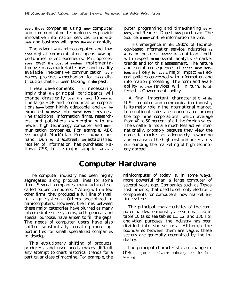**ever, those** companies using **new** computer and communication technologies **to** provide innovative information services **to** individ**uals** and business will grow **the most** rapidly.

The advent of the microcomputer and low**cost** digital communication opens **new** opportunities **to** entrepreneurs. Microproces**sors** lower **the cost of system** implementation **to a** mass-marketable **level;** and readily available, inexpensive communication **tech**nology provides **a** mechanism for **mass** distribution that **has** been lacking in **the** past.

These developments do not necessarily imply that **the** principal participants will change drastically **over the next** 10 **years.** The large EDP and communication corporations **have** been highly adaptable, and **can be** expected **to move** into **these new** services. The traditional information firms, researchers, and publishers **are** merging with **the** newer, high technology computer and **com**munication companies. For example, ABC **has** bought MacMillan Press. On the other hand, Dun & Bradstreet, **an** established retailer of information, has purchased National CSS, Inc., **a** major supplier of computer programing and time-sharing **services,** and Readers Digest **has** purchased The Source, **a new** on-line information service.

This emergence in **the** 1980's of technology-based information service industries **as a** major business **sector is** significant both with respect **to an** overall analysis of market trends and for this assessment. The nature and social consequences of **these new services are** likely **to have a** major impact on Federal policies concerned with information and information processing. The form and availability of these services will, in turn, be affected by Government policy.

A final important characteristic of the U.S. computer and communication industry is its major role in the international market. International sales are concentrated among the top nine corporations, which average from 40 to 50 percent of all the foreign sales. The smaller firms are much less active internationally, probably because they view the domestic market as adequately rewarding and because of the high cost and uncertainty surrounding the marketing of high technology abroad.

## **Computer Hardware**

The computer industry has been highly segregated along product lines for some time. Several companies manufactured socalled "super computers. " Along with a few other firms, they produced a full line of small to large systems. Others specialized in minicomputers. However, the lines between these major categories have blurred as many intermediate size systems, both general and special purpose, have arisen to fill the gaps. The needs of computer users have also shifted substantially, creating more opportunities for small specialized companies to develop.

This evolutionary shifting of products, producers, and user needs makes difficult any attempt to chart historical trends for a particular class of machine. For example, the minicomputer of today is, in some ways, more powerful than a large computer of several years ago. Companies such as Texas Instruments, that used to sell only electronic components for computers, now market entire systems.

The principal characteristics of the computer hardware industry are summarized in table 10 (also see tables 11, 12, and 13). For analytical purposes, the industry has been divided into six sectors. Although the boundaries between them are vague, these sectors are generally recognized by the industry.

The principal characteristics of change in the computer hardware industry are the following :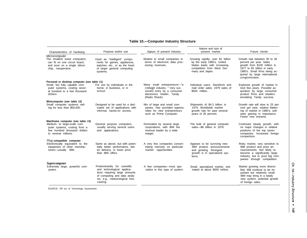#### **Table 10.—Computer Industry Structure**

| Characteristics of hardware                                                                                                           | Purpose and/or use                                                                                                                                                         | Nature of present industry                                                                                                                   | Nature and size of<br>present market                                                                                                              | Future trends                                                                                                                                                                                               |
|---------------------------------------------------------------------------------------------------------------------------------------|----------------------------------------------------------------------------------------------------------------------------------------------------------------------------|----------------------------------------------------------------------------------------------------------------------------------------------|---------------------------------------------------------------------------------------------------------------------------------------------------|-------------------------------------------------------------------------------------------------------------------------------------------------------------------------------------------------------------|
| Microcomputer<br>The smallest sized computers;<br>can fit on one circuit board,<br>and soon on a single silicon<br>chip; inexpensive. | Used as "intelligent" compo-<br>nents for games, appliances,<br>watches, etc., or as the heart<br>of larger general computing<br>systems.                                  | Modest to small companies in<br>terms of electronic data proc-<br>essing revenues.                                                           | Growing rapidly; over \$1 billion<br>by the early 1980's. United<br>States leads with increasing<br>competition from West Ger-<br>many and Japan. | Growth rate between 30 to 40<br>percent per year. Sales<br>growth from \$100 million in<br>1977 to \$1 billion in early<br>1980's. Small firms being ac-<br>quired by large international<br>conglomerates. |
| Personal or desktop computer (see table 11)                                                                                           |                                                                                                                                                                            |                                                                                                                                              |                                                                                                                                                   |                                                                                                                                                                                                             |
| Small, but fully capable com-<br>puter systems, costing sever-<br>al hundred to a few thousand<br>dollars.                            | For use by individuals in the<br>home, in business, or in<br>school.                                                                                                       | Many small entrepreneurs-"a<br>cottage industry. " Very suc-<br>cessful entry by a consumer<br>electronics retailer, Tandy<br>(Radio Shack). | Individual users. Storefront and<br>mail order sales, 1979 sales of<br>\$500 million.                                                             | Explosive growth of market in<br>next few years. Possible ac-<br>quisition by large consumer<br>product firms and retailers<br>emulating Tandy success.                                                     |
| Minicomputer (see table 12)                                                                                                           |                                                                                                                                                                            |                                                                                                                                              |                                                                                                                                                   |                                                                                                                                                                                                             |
| Small computer systems sell-<br>ing for less than \$50,000.                                                                           | Designed to be used for a ded-<br>icated set of applications with<br>informal, hands-on access.                                                                            | Mix of large and small com-<br>panies. Has provided opportu-<br>nities for new entrepreneurs<br>such as Prime Computer.                      | Shipments of \$4.3 billion in<br>1979. Worldwide market<br>growth rate for past several<br>years of 35 percent.                                   | Growth rate will slow to 25 per-<br>cent per year; relative flatten-<br>ing of market in 1980's; soft-<br>ware gaining in importance.<br>Fewer new entrants.                                                |
| Mainframe computer (see table 13)                                                                                                     |                                                                                                                                                                            |                                                                                                                                              |                                                                                                                                                   |                                                                                                                                                                                                             |
| Medium- to large-scale com-<br>puter systems, costing from a<br>few hundred thousand dollars<br>to several millions.                  | General purpose computers,<br>usually serving several users<br>and applications.                                                                                           | Dominated by several large<br>corporations, with IBM the<br>revenue leader by a wide<br>margin.                                              | The bulk of general computer<br>sales-\$8 billion in 1979.                                                                                        | Continued steady growth, with<br>no major changes in relative<br>positions of the top seven<br>companies. Increased foreign<br>competition.                                                                 |
| Plug compatible computer                                                                                                              |                                                                                                                                                                            |                                                                                                                                              |                                                                                                                                                   |                                                                                                                                                                                                             |
| Electronically equivalent to the<br>equipment of other manufac-<br>turers-usually IBM.                                                | Same as above, but with poten-<br>tially better performance, bet-<br>ter delivery, or lower price<br>than IBM offers.                                                      | A very few companies concen-<br>trating narrowly on particular<br>market opportunities.                                                      | Appears to be surviving new<br>IBM product announcements<br>and growing. Strongest<br>growth is in specialized sys-<br>tems.                      | Risky market, very sensitive to<br>IBM product and price an-<br>nouncements. Not likely to<br>become a significantly large<br>industry, but to prod big com-<br>panies through competition.                 |
| <b>Supercomputer</b>                                                                                                                  |                                                                                                                                                                            |                                                                                                                                              |                                                                                                                                                   |                                                                                                                                                                                                             |
| Extremely large, powerful com-<br>puters.                                                                                             | Predominantly for scientific<br>and technological applica-<br>tions requiring large amounts<br>of computing and data analy-<br>sis, e.g., meteorological fore-<br>casting. | A few companies-most spe-<br>cialize in this type of system.                                                                                 | Small, specialized market, esti-<br>mated at about \$500 million.                                                                                 | Market growing more diversi-<br>fied. Will continue to be im-<br>portant but relatively small.<br>IBM may bring in a totally<br>new system; potential growth<br>of foreign sales.                           |

SOURCE: Off Ice of Technology Assessment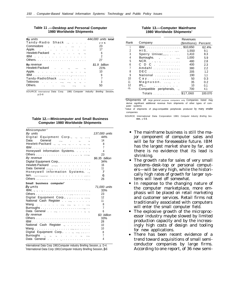#### **Table 11 .—Desktop and Personal Computer 1980 Worldwide Shipments**

| <b>By units</b>                                       | 444,000 units total |
|-------------------------------------------------------|---------------------|
| Tandy-Radio Shack .,                                  | 25%                 |
| Commodore                                             | 23                  |
| Apple.                                                | 17                  |
| Hewlett-Packard .,, .,                                | 6                   |
| IBM                                                   | $\overline{2}$      |
|                                                       | 27                  |
| By revenue                                            | \$1.9 billion       |
| Hewlett-Packard,  .,                                  | 21%                 |
| Apple. $\cdots$ . $\cdots$ . $\cdots$ . $\cdots$      | 10                  |
|                                                       | 9                   |
| Tandy-RadioShack ,.,                                  |                     |
| Tektronix, , ., ., .                                  | 3                   |
| Others.<br>المستناد المستناد المستناد والمتناور<br>٠, | 50                  |
|                                                       |                     |

--<br>SOURCE International Data Corp. 1981 Computer Indusfry Briefing Session, p.D-8

| Table 12.—Minicomputer and Small Business |
|-------------------------------------------|
| <b>Computer 1980 Worldwide Shipments</b>  |

| Minicomputer <sup>®</sup>                                                         |                     |
|-----------------------------------------------------------------------------------|---------------------|
| By units                                                                          | 137,000 units       |
| Digital Equipment Corp., ., ., ,                                                  | 44%                 |
| General<br>Data<br>and the state of the state of                                  | 14                  |
| Hewlett-Packard ., ., , .,, ., .,                                                 | 8                   |
|                                                                                   | $\overline{7}$      |
| Honeywell Information Systems.                                                    | 4                   |
|                                                                                   | 23                  |
| By revenue                                                                        | \$6.35 billion      |
| Digital Equipment Corp.,                                                          | 34%                 |
| Hewlett-Packard                                                                   | 16                  |
|                                                                                   | 11                  |
| Honeywell information Systems,                                                    | 7                   |
|                                                                                   | 6                   |
|                                                                                   | 26                  |
| Small business computer <sup>b</sup>                                              |                     |
|                                                                                   |                     |
| By units                                                                          | 71,000 units        |
| IBM, , ,                                                                          | 33%                 |
|                                                                                   | 23                  |
| Digital Equipment Corp., , ,                                                      | 12                  |
| National Cash Register                                                            | 11                  |
| Wang<br>ومناديات والروابين ومنادي والمنادي والمنادي والمنادي                      | 8                   |
| Burroughs $\dots \dots \dots \dots \dots \dots \dots \dots \dots$                 | $\overline{7}$      |
|                                                                                   | 6                   |
| By revenue                                                                        | \$3 billion         |
|                                                                                   | 33%                 |
|                                                                                   | 28                  |
| National Cash Register                                                            | 10                  |
|                                                                                   | 10                  |
| Digital Equipment Corp, ,                                                         | 8                   |
| <b>Burroughs</b><br>ومنادين والمستحدث والمنادين والمناور والمراوي<br>Data General | $\overline{7}$<br>4 |

a lnternational Data Corp 1981Computer industry Briefing Session, p. D-4. °International Data Corp 1981Computer Industry Briefing Session, **p**.6

#### **Table 13.—Computer Mainframe 1980 Worldwide Shipments'**

|      |                                   | Revenues             |         |
|------|-----------------------------------|----------------------|---------|
| Rank | Company                           | (\$millions) Percent |         |
|      |                                   |                      | 62.4%   |
| 2    | HIS,                              | 1,550                | 9.1     |
| 3    | Sperry Univac,,,,,                | 1.410                | 8.3     |
| 4    | Burroughs.,,                      | 1.000                | 5.9     |
| 5    |                                   | 480                  | 2.8     |
| 6    | $C$ D $C$                         | 400                  | 2.3     |
|      | Amdahl                            | 380                  | 22      |
| 8    |                                   | 205                  | 1.2     |
| 9    | National ,                        | 190                  | 1.1     |
| 10   | $Cay.$ ,,,,,,,                    | 50                   | 0.3     |
| 11   | Magnuson. ,                       | 35                   | 0.2     |
| 12   | $IPL., \t\t\t\t \t\t\t \t\t \t\t$ | 10                   | 0.1     |
| (b)  | Compatible peripherals, .,        | 700                  | 4.1     |
|      | Totals \$17.060                   |                      | 100.070 |

<sup>a</sup>Shipments of *large general* purpose computers only Companies listed may derive significant additional revenue from shipments of other types of computer systems <sup>b</sup>Value of shipments of plug-compatible peripherals produced by many smaller

companies

SOURCE International Data Corporation 1981 *Computer Industry Briefing Ses***sion,** p **C-3.**

- The mainframe business is still the major component of computer sales and will be for the foreseeable future. IBM has the largest market share by far, and there is no evidence that its lead is shrinking.
- The growth rate for sales of very small systems–desk-top or personal computers—will be very high, while the historically high rates of growth for larger systems will level off somewhat.
- In response to the changing nature of the computer marketplace, more emphasis will be placed on retail marketing and customer services. Retail firms not traditionally associated with computers will enter the small computer field.
- The explosive growth of the microprocessor industry maybe slowed by limited production capacity and by the increasingly high costs of design and tooling for new applications.
- There has been recent evidence of a  $\bullet$ trend toward acquisitions of small semiconductor companies by large firms. According to one report, of 36 new semi-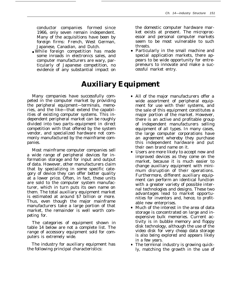conductor companies formed since 1966, only seven remain independent. Many of the acquisitions have been by foreign firms: French, West German, Japanese, Canadian, and Dutch.

● While foreign competition has made some inroads in electronics sales, and computer manufacturers are wary, particularly of Japanese competition, no evidence of any substantial impact on

## **Auxiliary Equipment**

Many companies have successfully competed in the computer market by providing the peripheral equipment—terminals, memories, and the like—that extend the capabilities of existing computer systems. This independent peripheral market can be roughly divided into two parts–equipment in direct competition with that offered by the system vendor, and specialized hardware not commonly manufactured by the mainframe companies.

Most mainframe computer companies sell a wide range of peripheral devices for information storage and for input and output of data. However, other manufacturers claim that by specializing in some specific category of device they can offer better quality at a lower price. Often, in fact, these units are sold to the computer system manufacturer, which in turn puts its own name on them. The total auxiliary equipment market is estimated at around \$7 billion or more. Thus, even though the major mainframe manufacturers take a large portion of that market, the remainder is well worth competing for.

The categories of equipment shown in table 14 below are not a complete list. The range of accessory equipment sold for computers is extremely wide.

The industry for auxiliary equipment has the following principal characteristics:

the domestic computer hardware market exists at present. The microprocessor and personal computer markets seem to be most vulnerable to such threats.

- Particularly in the small machine and special application markets, there appears to be wide opportunity for entrepreneurs to innovate and make a successful market entry.
- All of the major manufacturers offer a wide assortment of peripheral equipment for use with their systems, and the sale of this equipment constitutes a major portion of the market. However, there is an active and profitable group of independent manufacturers selling equipment of all types. In many cases, the large computer corporations have an agreement whereby they purchase this independent hardware and put their own brand name on it.
- Users are more likely to accept new and improved devices as they come on the market, because it is much easier to change auxiliary equipment with minimum disruption of their operations. Furthermore, different auxiliary equipment can perform an identical function with a greater variety of possible internal technologies and designs. These two advantages lead to market opportunities for inventors and, hence, to profitable new enterprises.
- Much of the interest in the area of data storage is concentrated on large and inexpensive bulk memories. Current activity is in bubble memory and floppy disk technology, although the use of the video disk for very cheap data storage is also being explored and appears likely in a few years.
- The terminal industry is growing quickly, matching the growth in the use of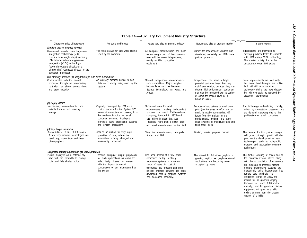| Characteristics of hardware                                                                                                                                                                                                                                                                                           | Purpose and/or use                                                                                                                                                                                                                                  | Nature and size or present industry                                                                                                                                                                                                                                          | Nature and size of present market                                                                                                                                                                                                                           | Future trends                                                                                                                                                                                                                                                                                                                                                                                                                                                                           |
|-----------------------------------------------------------------------------------------------------------------------------------------------------------------------------------------------------------------------------------------------------------------------------------------------------------------------|-----------------------------------------------------------------------------------------------------------------------------------------------------------------------------------------------------------------------------------------------------|------------------------------------------------------------------------------------------------------------------------------------------------------------------------------------------------------------------------------------------------------------------------------|-------------------------------------------------------------------------------------------------------------------------------------------------------------------------------------------------------------------------------------------------------------|-----------------------------------------------------------------------------------------------------------------------------------------------------------------------------------------------------------------------------------------------------------------------------------------------------------------------------------------------------------------------------------------------------------------------------------------------------------------------------------------|
| Random access memory devices<br>High-speed, usually uses large-scale<br>integration technology $(500 +$<br>circuits on a single chip), recently<br>IBM Introduced very large-scale<br>Integration (VLSI) technology<br>(several thousand circuits on a<br>single chip) Connects directly to the<br>computer processor | The main storage for data while being<br>used by the computer                                                                                                                                                                                       | All computer manufacturers sell these<br>as an integral part of their systems,<br>also sold by some independents,<br>mostly as IBM compatible<br>equipment                                                                                                                   | Market for Independent vendors has<br>developed, especially for IBM- com-<br>patible products                                                                                                                                                               | Independents are motivated to<br>develop products faster to compete<br>with IBM cheap VLSI technology<br>The market is risky due to the<br>uncertainty over IBM plans                                                                                                                                                                                                                                                                                                                   |
| Bulk memory devices (a) Magnetic tape and fixed head disks<br>Communicates with the central<br>processor through an Intermediary<br>controller, has slower access times<br>and larger capacity.                                                                                                                       | An auxiliary memory device to hold<br>data not currently being used by the<br>system                                                                                                                                                                | Several Independent manufacturers,<br>very competitive. Major suppliers<br>Include firms such as Memorex,<br>Storage Technology, 3M, Xerox, and<br>Ampex                                                                                                                     | Independents can serve a larger<br>potential customer base than any<br>mainframe vendor, because they can<br>design high-performance equipment<br>that can be Interfaced with a variety<br>of computer makes Over \$1 5<br>billion in sales                 | Some Improvements are stall likely,<br>but major breakthroughs are unlike-<br>ly It will still be a common<br>technology during the next decade,<br>but will eventually be replaced by<br>electronic technologies                                                                                                                                                                                                                                                                       |
| (b) Floppy disks<br>Inexpensive, easy-to-handle, and<br>reliable form of bulk memory<br>storage                                                                                                                                                                                                                       | Originally developed by IBM as a<br>control memory for the System 370<br>series of computers At present, It is<br>the medwm-of-choice for small<br>computer systems, Intelligent<br>terminals, word processing systems,<br>and similar applications | Successful area for small<br>entrepreneurs Leading Independent<br>producer is a small, California-based<br>company, founded in 1973-with<br>\$18 million in sales that year<br>Presently, more than a dozen large<br>and small manufacturers in the field                    | Because of applications to small com-<br>puters (see <i>Purpose</i> and/or use col-<br>umn), its market is somewhat dif-<br>ferent from the markets for the<br>predominantly medium- and large-<br>scale systems for magnitude tape and<br>fixed-head disks | The technology is developing rapidly,<br>driven by competetive pressures, and<br>the demand is growing due to the<br>proliferation of small computers                                                                                                                                                                                                                                                                                                                                   |
| (c) Very large memories<br>Stores trillions of bits of Information<br>A few very different technologies are<br>used, e.g., video tape and laser<br>photographics                                                                                                                                                      | Acts as an archive for very large<br>quantities of data, where the<br>information is rarely changed and<br>Infrequently accessed                                                                                                                    | Very few manufacturers, principally<br>Ampex and IBM                                                                                                                                                                                                                         | Limited, special purpose market                                                                                                                                                                                                                             | The demand for this type of storage<br>will grow, but rapid growth will de-<br>pend on the development of new<br>technologies, such as holographic<br>storage, and appropriate software<br>techniques                                                                                                                                                                                                                                                                                   |
| Graphical display equipment: (a) Video graphics<br>Picture displayed on a cathode ray<br>tube with the capability to display<br>color and fully shaded solids.                                                                                                                                                        | Presents computer output graphically<br>for such applications as computer-<br>aided design. Users can interact<br>with the display to control<br>computation or put information into<br>the system                                                  | Has been domain of a few, small<br>companies selling relatively<br>expensive systems to a narrow<br>range of users. As cost of<br>electronics has dropped and more<br>efficient graphics software has been<br>developed, cost of graphics systems<br>has decreased markedly. | The market for full video graphics is<br>growing rapidly as graphics-oriented<br>applications are becoming more<br>accepted by users                                                                                                                        | The further lowering of prices due to<br>the economy-of-scale effect, along<br>with the accumulation of experience<br>are expected to Increase market<br>demand inexpensive systems are<br>Increasingly being incorporated into<br>remote data terminals The<br>prediction is that by 1983, the<br>market for all graphics display<br>terminals will reach \$500 million<br>annually, and for graphical display<br>equipment will grow to a billion<br>dollars or more from the present |

#### **Table 14.—Auxiliary Equipment Industry Structure**

quarter of a billion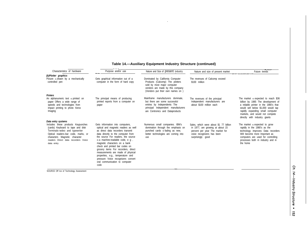| Characteristics of hardware                                                                                                                                                                                                           | Purpose and/or use                                                                                                                                                                                                                                                                                                                                                                                                                                                                                | Nature and Size of present Industry                                                                                                                                        | Nature and size of present market                                                                                                                                | Future trends                                                                                                                                                                                                                                                    |
|---------------------------------------------------------------------------------------------------------------------------------------------------------------------------------------------------------------------------------------|---------------------------------------------------------------------------------------------------------------------------------------------------------------------------------------------------------------------------------------------------------------------------------------------------------------------------------------------------------------------------------------------------------------------------------------------------------------------------------------------------|----------------------------------------------------------------------------------------------------------------------------------------------------------------------------|------------------------------------------------------------------------------------------------------------------------------------------------------------------|------------------------------------------------------------------------------------------------------------------------------------------------------------------------------------------------------------------------------------------------------------------|
| (b)Plotter graphics<br>Picture is drawn by a mechanically<br>controlled pen                                                                                                                                                           | Gets graphical information out of a<br>computer in the form of hard copy                                                                                                                                                                                                                                                                                                                                                                                                                          | Dominated by California Computer<br>Products (Calcomp) The plotters<br>sold by most major computer<br>vendors are made by this company<br>(Vendors put their own names on) | The revenues of Calcomp exceed<br>\$100 million                                                                                                                  |                                                                                                                                                                                                                                                                  |
| <b>Printers</b>                                                                                                                                                                                                                       |                                                                                                                                                                                                                                                                                                                                                                                                                                                                                                   | Mainframe manufacturers dominate.                                                                                                                                          |                                                                                                                                                                  |                                                                                                                                                                                                                                                                  |
| An alphanumeric text is printed on<br>paper Offers a wide range of<br>speeds and technologies from<br>impact printing to photo Xerox<br>Imaging                                                                                       | The principal means of producing<br>printed reports from a computer on<br>paper                                                                                                                                                                                                                                                                                                                                                                                                                   | but there are some successful<br>entries by Independents The<br>principal Independent manufacturers<br>are Centronics and Dataproducts                                     | The revenues of the principal<br>Independent manufacturers are<br>about \$100 million each                                                                       | The market is expected to reach \$36<br>billion by 1985 The development of<br>a reliable printer in the 1980's that<br>would sell below \$1,000 would tap<br>rapidly expanding small computer<br>markets, and would not compete<br>directly with industry giants |
| Data entry systems                                                                                                                                                                                                                    |                                                                                                                                                                                                                                                                                                                                                                                                                                                                                                   |                                                                                                                                                                            |                                                                                                                                                                  |                                                                                                                                                                                                                                                                  |
| Includes these products Keypunches<br>(cards) Keyboard to tape and disk<br>Terminals-wdeo and typewriter<br>Optical readers-bar code, marks, or<br>characters Magnetic character<br>readers Direct data recorders Voice<br>data entry | Gets information into computers,<br>optical and magnetic readers as well<br>as direct data recorders transmit<br>data directly to the computer from<br>the source For readers, the source<br>is a machine-readable code, e g,<br>magnetic characters on a bank<br>check and printed bar codes on<br>grocery items For recorders, direct<br>measurements are made of physical<br>properties, e.g., temperature and<br>pressure Voice recognizers convert<br>oral communication to computer<br>code | Numerous small companies. IBM's<br>domination through the emphasis on<br>punched cards is fading as new,<br>better technologies are coming into<br>use                     | Sales, which were about \$1 77 billion<br>in 1977, are growing at about 15<br>percent per year The market for<br>voice recognizers has been<br>surprisingly good | The market is expected to grow<br>rapidly in the 1980's as the<br>technology improves Data recorders<br>Will become more Important as<br>computers are used for controlling<br>processes both m industry and in<br>the home                                      |

—

#### **Table 14.—Auxiliary Equipment Industry Structure (continued)**

.

SOURCE Off Ice of Technology Assessment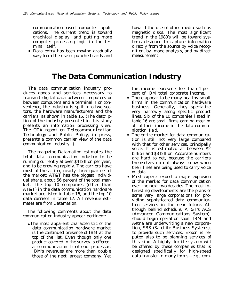communication-based computer appli- toward the use of other media such as cations. The current trend is toward magnetic disks. The most significant graphical display, and putting more trend in the 1980's will be toward syscomputer processing logic in the ter- tems designed to capture information

• Data entry has been moving gradually **away** from the use of punched cards and measurement.

minal itself. directly from the source by voice recognition, by image analysis, and by direct

## **The Data Communication Industry**

The data communication industry produces goods and services necessary to transmit digital data between computers or between computers and a terminal. For convenience, the industry is split into two sectors, the hardware manufacturers and the carriers, as shown in table 15. (The description of the industry presented in this study presents an information processing view. The OTA report on *Telecommunication Technology and Public Policy,* in press, presents a common carrier view of the data communication industry. )

The magazine *Datamation* estimates the total data communication industry to be running currently at over \$4 billion per year, and to be growing rapidly. The carriers have most of the action, nearly three-quarters of the market; AT&T has the biggest individual share, about 56 percent of the total market. The top 10 companies (other than AT&T) in the data communication hardware market are listed in table 16, and the top 10 data carriers in table 17. All revenue estimates are from *Datamation.*

The following comments about the data communication industry appear pertinent:

● The most apparent characteristic of the data communication hardware market is the continued presence of IBM at the top of the list. Even though only one product covered in the survey is offered, a communication front-end processor, IBM's revenues are more than double those of the next largest company. Yet this income represents less than 1 percent of IBM total corporate income.

- There appear to be many healthy small firms in the communication hardware business. Generally, they specialize very narrowly along specific product lines. Six of the 10 companies listed in table 16 are small firms earning most or all of their income in the data communication field.
- The entire market for data communication is still not very large compared with that for other services, principally voice. It is estimated at between \$2 billion and \$3 billion. Accurate numbers are hard to get, because the carriers themselves do not always know when their lines are being used to carry voice or data.
- Most experts expect a major explosion of the market for data communication over the next two decades. The most interesting developments are the plans of some very large corporations for providing sophisticated data communication services in the near future. Although behind schedule, AT&T's ACS (Advanced Communications System), should begin operation soon. IBM and Aetna are underwriting a new corporation, SBS (Satellite Business Systems), to provide such services. Exxon is reputed also to be planning services of this kind. A highly flexible system will be offered by these companies that is designed specifically for high-speed data transfer in many forms—e.g., com-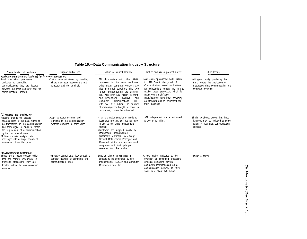#### **Table 15.—Data Communication Industry Structure**

| Characteristics of hardware                                                                                                                                                                                                                                                                                                                           | Purpose and/or use                                                                                    | Nature of present Industry                                                                                                                                                                                                                                                                                                                                                                               | Nature and size of present market                                                                                                                                                                                                                                                                         | Future trends                                                                                                                  |
|-------------------------------------------------------------------------------------------------------------------------------------------------------------------------------------------------------------------------------------------------------------------------------------------------------------------------------------------------------|-------------------------------------------------------------------------------------------------------|----------------------------------------------------------------------------------------------------------------------------------------------------------------------------------------------------------------------------------------------------------------------------------------------------------------------------------------------------------------------------------------------------------|-----------------------------------------------------------------------------------------------------------------------------------------------------------------------------------------------------------------------------------------------------------------------------------------------------------|--------------------------------------------------------------------------------------------------------------------------------|
| Hardware manufacturers (table 16) (a) Front-end processors<br>Small specialized processors<br>dedicated to controlling<br>communications they are located<br>between the main computer and the<br>communication network                                                                                                                               | Control communications by handling<br>all the messages between the main<br>computer and the terminals | IBM dominates with the 370X<br>processor for it's own machines<br>Other major computer vendors are<br>also principal suppliers The two<br>largest Independents are Comten<br>Inc., with over \$37 million in front-<br>end processor revenues<br>and<br>Computer Communications<br>Inc.<br>with over \$17 million The number<br>of minicomputers bought to serve in<br>this capacity cannot be estimated | Total sales approached \$400 million<br>in 1979 Due to the growth of<br>Communication based applications<br>an independent industry is arising to<br>market these processors which for<br>many years mainframe<br>manufacturers have been providing<br>as standard add-on equipment for<br>their machines | Will grow rapidly paralleling the<br>trend toward the application of<br>Integrating data communication and<br>computer systems |
| (b) Modems and multiplexors<br>Modems change the electric<br>characteristics of the data signal to<br>be transmitted on the communication<br>line from digital to audio-to match<br>the requirement of a communication<br>system to transmit voice<br>Multiplexors mix multiple data<br>messages into a single stream of<br>information down the wire | Adapt computer systems and<br>terminals to the communication<br>systems designed to carry voice       | AT&T is a major supplier of modems<br>(estimates are that Bell has as many<br>in use as the entire Independent<br>market)<br>Mutiplexors are supplied mainly by<br>Independent manufacturers<br>principally Motorola Racal-Milgo.<br>General Data Comm Paradyne and<br>Rixon All but the first one are small<br>companies with their principal<br>revenues from this market                              | 1979 Independent market estimated<br>at over \$450 million.                                                                                                                                                                                                                                               | Similar to above, except that these<br>functions may be Included to some<br>extent in new data communication<br>services       |
| (c) Network/node controllers<br>These are a recent concept which<br>look and perform very much like<br>front-end processors They are<br>located within the communication<br>network                                                                                                                                                                   | Principally control data flow through a<br>complex network of computers and<br>communication lines    | Supplier picture is not clear It<br>appears to be dominated by two<br>Independents, Comten and Computer<br>Communications Inc.                                                                                                                                                                                                                                                                           | A new market motivated by the<br>evolution of distributed processing<br>systems containing several<br>computers Interconnected on a<br>communication network In 1979<br>sales were about \$70 million                                                                                                     | Similar to above                                                                                                               |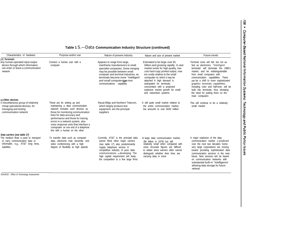#### **Table 1** S.—Data **Communication Industry Structure (continued)**

| Characteristics of hardware                                                                                                                                 | Purpose and/or use                                                                                                                                                                                                                                                                                                                                                  | Nature of present industry                                                                                                                                                                                                                                                                          | Nature and size of present market                                                                                                                                                                                                                                                                                                                                               | Future trends                                                                                                                                                                                                                                                                                                                                                                                                                             |
|-------------------------------------------------------------------------------------------------------------------------------------------------------------|---------------------------------------------------------------------------------------------------------------------------------------------------------------------------------------------------------------------------------------------------------------------------------------------------------------------------------------------------------------------|-----------------------------------------------------------------------------------------------------------------------------------------------------------------------------------------------------------------------------------------------------------------------------------------------------|---------------------------------------------------------------------------------------------------------------------------------------------------------------------------------------------------------------------------------------------------------------------------------------------------------------------------------------------------------------------------------|-------------------------------------------------------------------------------------------------------------------------------------------------------------------------------------------------------------------------------------------------------------------------------------------------------------------------------------------------------------------------------------------------------------------------------------------|
| (d) Terminals<br>Any human-operated input-output<br>device through which information<br>can enter or leave a communication<br>network                       | Connect a human user with a<br>computer                                                                                                                                                                                                                                                                                                                             | Appears to range from large,<br>mainframe manufacturers to small<br>specialist companies, Some merging<br>may be possible between small<br>computer and terminal industries, as<br>terminals become more "Intelligent"<br>and small computersgain more<br>communications capability                 | Estimated to be large-over \$1<br>billion-and growing rapidly. A vast<br>market exists for high-quality, low-<br>cost hard-copy printed output, now<br>too costly relative to the small<br>computer to which it may be<br>attached A high demand is<br>anticipated for terminals,<br>concomitant with a projected<br>explosive market growth for small<br>and networked systems | Terminal costs will fall, but not as<br>fast as electronics "Intelligent<br>terminals" will dominate the 1980's<br>market, and be indistinguishable<br>from small computers with<br>communication capabilities There<br>will be a shift to more sophisticated<br>graphics terminals capabilities,<br>including color and half-tone, will be<br>built into terminals, thus obviating<br>the need for putting them on the<br>main computers |
| (e) Other devices<br>A miscellaneous group of relatively<br>cheap specialized devices, for<br>managing and testing<br>communication network                 | These are for setting up and<br>maintaining a data communication<br>network Includes such devices as<br>those for monitoring communication<br>lines for data accuracy and<br>performance and those for tracing<br>errors in a network system, also<br>voice response units that interface a<br>computer on one end of a telephone<br>line with a human on the other | Racal-Milgo and Northern Telecom,<br>which largely produce test<br>equipment, are the principal<br>suppliers                                                                                                                                                                                        | A still quite small market relative to<br>the entire communication market.<br>but amounts to over \$100 million                                                                                                                                                                                                                                                                 | This will continue to be a relatively<br>small market                                                                                                                                                                                                                                                                                                                                                                                     |
| Data carriers (see table 17)<br>The medium that is used to transport<br>or carry communication data or<br>informatlin, e.g., AT&T long lines,<br>satellites | To transfer data such as computer<br>data, electronic mail, facsimile, and<br>video conferencing with a high<br>degree of flexibility at high speeds                                                                                                                                                                                                                | Currently, AT&T is the principal data<br>earner Most other major carriers<br>(see table 17) also predominantly<br>supply telephone service A<br>competitive industry of pure data<br>communications is developing The<br>high capital requirement will keep<br>the competition to a few large firms | A large data communication market,<br>(\$4 billion in 1979) but still<br>relatively small when compared with<br>voice Accurate figures are difficult<br>to obtain since earners often cannot<br>distinguish whether their lines are<br>carrying data or voice                                                                                                                   | A major explosion of the data<br>communication market is predicted<br>over the next two decades Some<br>very large corporations are moving<br>toward providing sophisticated data<br>communication services m the near<br>future. New services will be based<br>on communication networks with<br>substantial built-m "Intelligence"<br>allowing data storage for future<br>retrieval                                                     |

156 • Computer-Based National Information Systems: Technology and Public Policy Issues

SOURCE : Office of Technology Assessment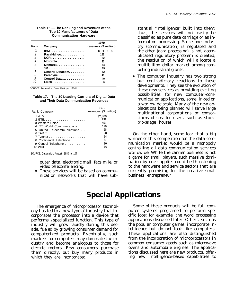| Table 16.—The Ranking and Revenues of the<br><b>Top 10 Manufacturers of Data</b><br><b>Communication Hardware</b> |  |
|-------------------------------------------------------------------------------------------------------------------|--|
|                                                                                                                   |  |

|                |                                        | 1979                  |
|----------------|----------------------------------------|-----------------------|
| Rank           | Company                                | revenues (\$ million) |
|                | IBM                                    | \$158                 |
| $\overline{c}$ | Racal-Milgo.                           | 121                   |
| 3              |                                        | 82                    |
| $\overline{4}$ | Motorola $\ldots \ldots \ldots \ldots$ | 81                    |
| 5              | Memorex                                | 54                    |
| 6              | $3M$                                   | 49                    |
|                | General Datacom.                       | 42                    |
| 8              | Paradyne                               | 41                    |
| 9              | Control Data                           | 40                    |
| ١N             | $Rixon. \ldots \ldots \ldots \ldots$   | 36                    |

SOURCE: Detamation, June 1980, pp. 120-121.

**Table 17.—The 10 Leading Carriers of Digital Data and Their Data Communication Revenues**

|                             | 1979                  |
|-----------------------------|-----------------------|
| Rank Company                | revenues (\$ million) |
|                             | \$2,309               |
|                             | 798                   |
| 3 Western Union             | 451                   |
| 4 ITT World Communications  | 170                   |
| 5 United Telecommunications | 68                    |
|                             | 28                    |
|                             | 24                    |
| 8 Continental Telephone     | 21                    |
| 9 Central Telephone         | 20                    |
| 10 WUL                      | 16                    |

SOURCE: Datamation, August 1980, p. 107

puter data, electronic mail, facsimile, or video teleconferencing.

• These services will be based on communication networks that will have substantial "intelligence" built into them; thus, the services will not easily be classified as pure data carriage or as information processing. Since one industry (communication) is regulated and the other (data processing) is not, acornplicated regulatory problem is created, the resolution of which will allocate a multibillion dollar market among competing industrial giants.

● The computer industry has two strong but contradictory reactions to these developments. They see the evolution of these new services as providing exciting possibilities for new computer-communication applications, some linked on a worldwide scale. Many of the new applacations being planned will serve large multinational corporations or consortiums of smaller users, such as stockbrokerage houses.

On the other hand, some fear that a big winner of this competition for the data communication market would be a monopoly controlling all data communication services worldwide. While the carrier business is not a game for small players, such massive domination by one supplier could be threatening to the hardware and service sectors that are currently promising for the creative small business entrepreneur.

## **Special Applications**

The emergence of microprocessor technology has led to a new type of industry that incorporates the processor into a device that performs *a* specialized function. This type of industry will grow rapidly during this decade, fueled by growing consumer demand for computerized products. Eventually, such markets for computers may dominate the industry and become analogous to those for electric motors. Few consumers purchase them directly, but buy many products in which they are incorporated.

Some of these products will be full computer systems programed to perform specific jobs; for example, the word processing applications discussed later. Others, such as the popular computer games, incorporate intelligence but do not look like computers. These applications are also distinguished from the incorporation of microprocessors in common consumer goods such as microwave ovens and automobile engines. The applications discussed here are new products, offering new, intelligence-based capabilities to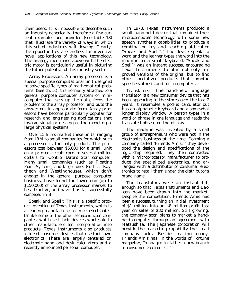their users. It is impossible to describe such an industry generically; therefore a few current examples are provided (see table 18) that illustrate the variety of ways in which this set of industries will develop. Clearly, the opportunities are endless for inventive novel applications of this new technology. The analogy mentioned above with the electric motor is particularly useful in picturing the future potential of this industry sector.

Array Processors: An array processor is a special purpose computational unit designed to solve specific types of mathematical problems. (See ch. 5.) It is normally attached to a general purpose computer system or minicomputer that sets up the data, feeds the problem to the array processor, and puts the answer out in appropriate form. Array processors have become particularly popular for research and engineering applications that involve signal processing or the modeling of large physical systems.

Over 15 firms market these units, ranging from IBM to small companies for which such a processor is the only product. The processors cost between \$5,000 for a small unit on a printed circuit card to several million dollars for Control Data's Star computer. Many small companies (such as Floating Point Systems) and larger ones (such as Raytheon and Westinghouse), which don't engage in the general purpose computer business, have found the lower end (up to \$150,000) of the array processor market to be attractive, and have thus far successfully competed in it.

Speak and Spell": This is a specific product invention of Texas Instruments, which is a leading manufacturer of microelectronics. Unlike some of the other semiconductor companies, which sell their devices wholesale to other manufacturers for incorporation into products, Texas Instruments also produces a line of consumer devices that use their own electronics. These are largely centered on electronic hand and desk calculators and a recently announced personal computer.

In 1978, Texas Instruments produced a small hand-held device that combined their microcomputer technology with some new speech synthesis capabilities to produce a combination toy and teaching aid called "Speak and Spell® ." The device speaks a word and the learner types the word into the machine on a small keyboard. "Speak and Spell"" was an instant success, encouraging Texas Instruments to plan not only improved versions of the original but to find other specialized products that combine speech synthesis and microcomputers.

Translators: The hand-held language translator is a new consumer device that has been appearing in the stores over the last 2 years. It resembles a pocket calculator but has an alphabetic keyboard and a somewhat longer display window. A person types in a word or phrase in one language and reads the translated phrase on the display.

The machine was invented by a small group of entrepreneurs who were not in the electronics business at the time. Forming a company called "Friends Amis, " they developed the design and specifications of the logic chip required. They then contracted with a microprocessor manufacturer to produce the specialized electronics, and arranged with a distributor of consumer electronics to retail them under the distributor's brand name.

The translators were an instant hit, enough so that Texas Instruments and Lexicon have been drawn into the market. Despite the competition, Friends Amis has been a success, turning an initial investment of \$1 million into an \$8 million profit last year on sales of \$30 million. Still growing, the company soon plans to market a handheld computer through an agreement with Matsushita. The Japanese corporation will provide the marketing capability the small company lacks. Besides making money, Friends Amis has, in the words of Fortune magazine, "managed to' father a new branch of consumer electronics. "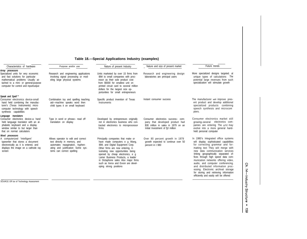#### **Table 18.—Special Applications Industry (examples)**

| Characteristics of hardware                                                                                                                                                                                        | Purpose and/or use                                                                                                                                                       | Nature of present Industry                                                                                                                                                                                                                                                                                                                                          | Nature and size of present market                                                                                                                 | Future trends                                                                                                                                                                                                                                                                                                                                                                                                                                                                                                       |
|--------------------------------------------------------------------------------------------------------------------------------------------------------------------------------------------------------------------|--------------------------------------------------------------------------------------------------------------------------------------------------------------------------|---------------------------------------------------------------------------------------------------------------------------------------------------------------------------------------------------------------------------------------------------------------------------------------------------------------------------------------------------------------------|---------------------------------------------------------------------------------------------------------------------------------------------------|---------------------------------------------------------------------------------------------------------------------------------------------------------------------------------------------------------------------------------------------------------------------------------------------------------------------------------------------------------------------------------------------------------------------------------------------------------------------------------------------------------------------|
| Array processors<br>Specialized units for very economic<br>and fast solutions for particular<br>mathematical problems Usually at-<br>tached to a mini- or general-purpose<br>computer for control and input/output | Research and engineering applications<br>involving signal processing or mod-<br>eling large physical systems                                                             | Units marketed by over 15 firms from<br>IBM to small companies with proc-<br>essor as their sole product cost<br>from \$5000 for smallest unit on<br>printed circuit card to several million<br>dollars for the largest size op-<br>portunities for small entrepreneurs                                                                                             | Research and engineering design<br>laboratories are principal users                                                                               | More specialized designs targeted. al<br>unique types of calculations The<br>potential large revenues from such<br>specialization will stimulate growth                                                                                                                                                                                                                                                                                                                                                             |
| Speak and Spell<br>Consumer electronics device-small<br>hand held combining the manufac-<br>turer's (Texas Instruments) micro<br>computer technology with speech<br>synthesis capabilities                         | Combination toy and spelling teaching<br>aid-machine speaks word then<br>child types it on small keyboard                                                                | Specific product invention of Texas<br>Instruments                                                                                                                                                                                                                                                                                                                  | Instant consumer success                                                                                                                          | The manufacturer will improve pres-<br>ent product and develop additional<br>specialized products combining<br>speech synthesis and microcom<br>pters.                                                                                                                                                                                                                                                                                                                                                              |
| translators<br>Language<br>Consumer electronics device-a hand<br>held language translator with an al-<br>phabetic keyboard and a display<br>window similar to but larger than<br>that on normal calculators        | Type in word or phrase- read off<br>translation on display                                                                                                               | Developed by entrepreneurs originally<br>not in electronics business who con-<br>tracted electronics to microprocessor<br>firms                                                                                                                                                                                                                                     | Consumer electronics success- com-<br>pany that developed product had<br>\$30 million in sales in 1979 on an<br>Initial Investment of \$1 million | Consumer electronics market still<br>growing-several electronics com-<br>panies are entering The unit may<br>evolve into a more general hand-<br>held personal computer                                                                                                                                                                                                                                                                                                                                             |
| Word processors<br>A computerized 'Intelligent'<br>typewriter that stores a document<br>electronically as it is entered, and<br>displays the image on a cathode ray<br>screen                                      | Allows operator to edit and correct<br>text directly in memory, and<br>automates repagination, hyphen-<br>ating and justification Some sys-<br>tems can correct spelling | Principally companies that make or<br>have made computers e g Wang,<br>IBM, and Digital Equipment Corp.<br>Other firms are now entering, il-<br>lustrating new opportunities being<br>opened by cheap electronics, e g<br>Lamer Business Products, a leader<br>in Dictaphone sales Also major firms<br>such as Xerox and Exxon are devel-<br>oping strong positions | Over 80 percent growth in 1979<br>growth expected to continue over 50<br>percent in t 980                                                         | In 1980's Integrated office systems<br>will display sophisticated capabilities<br>for correcting grammar and for-<br>matting text They will merge with<br>new data communication services<br>linking geographically separated of-<br>fices through high speed data com-<br>munication networks offering video,<br>audio, and computer conferencing.<br>and distributed information proc-<br>essing. Electronic archival storage<br>for storing and retrieving information<br>efficiently and easily will be offered |

—SOURCE Off Ice of Technology Assessment

Ch. 14-Industry Structure • 159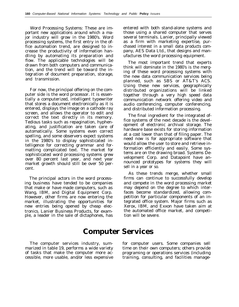Word Processing Systems: These are important new applications around which a major industry will grow in the 1980's. Word processing systems, the first entry in the office automation trend, are designed to increase the productivity of information handling by automating its preparation and flow. The applicable technologies will be drawn from both computers and communication, and the trend will be toward the integration of document preparation, storage, and transmission.

For now, the principal offering on the computer side is the word processor. It is essentially a computerized, intelligent typewriter that stores a document electronically as it is entered, displays the image on a cathode ray screen, and allows the operator to edit and correct the text directly in its memory. Tedious tasks such as repagination, hyphenating, and justification are taken care of automatically. Some systems even correct spelling, and some observers expect systems in the 1980's to display sophisticated intelligence for correcting grammar and formatting complicated text. The market for sophisticated word processing systems grew over 80 percent last year, and next year market growth should still be over 50 percent.

The principal actors in the word processing business have tended to be companies that make or have made computers, such as Wang, IBM, and Digital Equipment Corp. However, other firms are now entering the market, illustrating the opportunities for new entries being opened by cheap electronics. Lanier Business Products, for example, a leader in the sale of dictaphones, has entered with both stand-alone systems and those using a shared computer that serves several terminals. Lanier, principally viewed as a firm with marketing expertise, purchased interest in a small data products company, AES Data Ltd., that designs and manufactures the word processing equipment.

The most important trend that experts think will dominate in the 1980's is the merging of these word processing systems with the new data communication services being planned, such as SBS or AT&T's ACS. Using these new services, geographically distributed organizations will be linked together through a very high speed data communication network offering video and audio conferencing, computer conferencing, and distributed information processing.

The final ingredient for the integrated office systems of the next decade is the development of electronic archival storage. The hardware base exists for storing information at a cost lower than that of filing paper. The need now is for appropriate software that would allow the user to store and retrieve information efficiently and easily. Some systems are on the drawing broad. Systems Development Corp. and Datapoint have announced prototypes for systems they will sell in a year or so.

As these trends merge, whether small firms can continue to successfully develop and compete in the word processing market may depend on the degree to which interfaces become standardized, allowing competition for particular components of an integrated office system. Major firms such as Xerox, IBM, and Exxon have taken aim at the automated office market, and competition will be severe.

## **Computer Services**

The computer services industry, summarized in table 19, performs a wide variety of tasks that make the computer more accessible, more usable, and/or less expensive

for computer users. Some companies sell time on their own computers; others provide programing or operations services (including training, consulting, and facilities manage-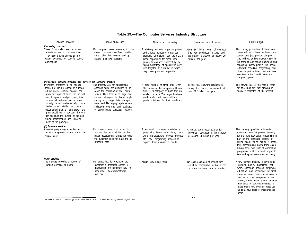#### — **Table 19.—The Computer Services Industry Structure**

|                                                                                                                                                                                                                                                                                                                                                                                                                                                                                                                                                               |                                                                                                                                                                                                                                                                                                                                           |                                                                                                                                                                                                                                                                                                           |                                                                                                                                  | Future trends                                                                                                                                                                                                                                                                                                                                                                                        |
|---------------------------------------------------------------------------------------------------------------------------------------------------------------------------------------------------------------------------------------------------------------------------------------------------------------------------------------------------------------------------------------------------------------------------------------------------------------------------------------------------------------------------------------------------------------|-------------------------------------------------------------------------------------------------------------------------------------------------------------------------------------------------------------------------------------------------------------------------------------------------------------------------------------------|-----------------------------------------------------------------------------------------------------------------------------------------------------------------------------------------------------------------------------------------------------------------------------------------------------------|----------------------------------------------------------------------------------------------------------------------------------|------------------------------------------------------------------------------------------------------------------------------------------------------------------------------------------------------------------------------------------------------------------------------------------------------------------------------------------------------------------------------------------------------|
| Services provided<br>Processing services                                                                                                                                                                                                                                                                                                                                                                                                                                                                                                                      | Purpose and/or use                                                                                                                                                                                                                                                                                                                        | Nature of Industry                                                                                                                                                                                                                                                                                        | Nature and size of market                                                                                                        |                                                                                                                                                                                                                                                                                                                                                                                                      |
| These firms called service bureaus<br>provide access to computer time<br>They also provide access 10 pro-<br>grams designed for specific control<br>applications                                                                                                                                                                                                                                                                                                                                                                                              | For computer users preferring to pur-<br>chase computer time from outside<br>firms rather than owning and op-<br>erating their own systems                                                                                                                                                                                                | A relatively few very large companies<br>and a large number of small but<br>profitable Operations (See table 21)<br>Good opportunity for small com-<br>panies to compete successfully by<br>taking advantage of specialized serv-<br>ices targeted at a market in which<br>they have particular expertise | About \$67 billion worth of computer<br>time was purchased in 1980 and<br>the market is growing at nearly 20<br>percent per year | The coming generation of cheap com-<br>puters will be a threat to those com-<br>panies that just provide computer<br>time without adding market value in<br>the form of application packages and<br>consulting Consequently the move<br>is toward providing programing and<br>other support activites that are less<br>sensitive to the specific source of<br>computer power                         |
| Professional software products and services. (a) Software products<br>Prewritten programs to do specific<br>tasks that can be leased or purchas-<br>ed by users Because heavier pro<br>gram development costs can be writ-<br>ten off against multiple users, this<br>commercial software can be more<br>soundly based mathematically, more<br>flexible more reliable, and better<br>documented than a home-grown pro-<br>gram would be In addition, the ven-<br>dor assumes the burden of the con-<br>tinued maintenance and improve-<br>ment of the package | The majority are for applications<br>although some are designed to im<br>prove the operation of the user's<br>system They tend to be large and<br>complex designed for broad appli-<br>cability e q large data manage-<br>ment and file Inquiry systems op-<br>timization programs, and packages<br>of sophisticated statistical routines | A large number of small firms Over<br>90 percent of the companies fit into<br>ADAPSO's category of those that are<br>smallest in size The large hardware<br>vendors also sell some software<br>products tailored for their machines                                                                       | For the total software products in<br>dustry, the market is estimated at<br>over \$1.5 billion per year                          | The growth rate for the next 5 years<br>for this unusually fast growing in<br>dustry is estimated at 30 percent                                                                                                                                                                                                                                                                                      |
| (b) Software services<br>Provides programing expertise to<br>develop a specific program for a par-<br>ticular user                                                                                                                                                                                                                                                                                                                                                                                                                                            | For a user's own projects, and to<br>assume the responsibilty for the<br>major development efforts for which<br>the customer does not have the ap-<br>propriate staff                                                                                                                                                                     | A few small companies specialize in<br>programing Many large firms, hard-<br>ware manufacturers, service bureaus<br>etc., offer programing services to<br>support their customer's needs                                                                                                                  | A market about equal to that for<br>prewritten packages It is estimated<br>at around \$1 billion per year                        | The industry predicts substantial<br>growth of over 20 percent annually<br>for the next few years, depending in<br>part on the continued scarcity of<br>skilled talent, which makes it costly,<br>thus discouraging users from estab-<br>lishing their own staff of application<br>programmers More market segmenta-<br>tion and specialization seems likely                                         |
| Other services<br>The Industry provides a variety of<br>support services to users                                                                                                                                                                                                                                                                                                                                                                                                                                                                             | For consulting, for operating the<br>customer s computer center, for<br>maintaining the hardware and for<br>Integrated hardware/software<br>systems                                                                                                                                                                                       | Mostly very small firms                                                                                                                                                                                                                                                                                   | No soild estimates of market size<br>could be comparable to that of pro-<br>fessional software support market                    | A new service Industry is developing<br>providing books, magazines, soft-<br>ware, exchange services, employee<br>education, and consulting, for small<br>computer users. With the increase in<br>the use of small computers in the<br>1980's, some major growth potential<br>may exist for services designed to<br>make these new systems most use-<br>ful to a new class of inexperienced<br>users |

—.— —— SOURCE: Office of Technology Assessment and Association of Data Processing Service Organizations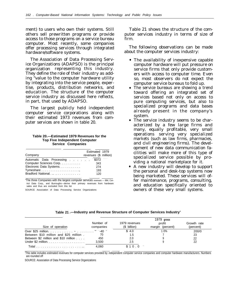ment) to users who own their systems. Still others sell prewritten programs or provide access to those programs on a service bureau computer. Most recently, some companies offer processing services through integrated hardware/software systems.

The Association of Data Processing Service Organizations (ADAPSO) is the principal organization representing this industry. They define the role of their industry as adding "value to the computer hardware utility by integrating into the service people, expertise, products, distribution networks, and education. The structure of the computer service industry as discussed here reflects, in part, that used by ADAPSO.

The largest publicly held independent computer service corporations along with their estimated 1973 revenues from computer services are shown in table 20.

#### **Table 20.—Estimated 1979 Revenues for the Top Five Independent Computer Service Companies**

| Company                         | Estimated 1979<br>revenues (\$ million) |
|---------------------------------|-----------------------------------------|
| Automatic Data Processing \$372 |                                         |
| Computer Sciences Corp.         | 343                                     |
| Electronic Data Systems.        | 274                                     |
|                                 | 193                                     |
| Bradford National. ,            | 120                                     |

<sup>®</sup>The three Companies with the largest computer services revenues - IBM, Control Data Corp., and Burroughs—derive their primary revenues from hardware sales and thus are excluded from this list

SOURCE Association of Data Processing Service Organizations

Table 21 shows the structure of the computer services industry in terms of size of firm.

The following observations can be made about the computer services industry:

- The availability of inexpensive capable computer hardware will put pressure on service firms that only provide customers with access to computer time. Even so, most observers do not expect the computer service bureaus to fold up.
- The service bureaus are showing a trend toward offering an integrated set of services based not only on access to pure computing services, but also to specialized programs and data bases already present in the company's system.
- The service industry seems to be characterized by a few large firms and many, equally profitable, very small operations serving very specialized markets (such as law firms, pharmacies, and civil engineering firms). The development of new data communication facilities will make more of this type of specialized service possible by providing a national marketplace for it.
- A new industry will develop to support the personal and desk-top systems now being marketed. These services will offer maintenance, programs, consulting, and education specifically oriented to owners of these very small systems.

| Table 21 .- Industry and Revenue Structure of Computer Services Industry' |  |  |
|---------------------------------------------------------------------------|--|--|
|                                                                           |  |  |

|                                                                |                        |                                | $1979$ gross               |                          |
|----------------------------------------------------------------|------------------------|--------------------------------|----------------------------|--------------------------|
| Size of operation                                              | Number of<br>companies | 1979 revenues<br>$(S$ billion) | profit<br>margin (percent) | Growth rate<br>(percent) |
|                                                                |                        | \$4.0                          | 1 0%                       | 200/0                    |
| Between \$10 million and \$25 million.                         | 70                     | 1.5                            |                            | 23                       |
| Between \$2 million and \$10 million                           | 450                    | 2.0                            |                            | 22                       |
| Under \$2 million. $\ldots \ldots \ldots \ldots \ldots \ldots$ | 3.500                  | 2.5                            |                            | 22                       |
|                                                                | 4.060                  | \$10.0                         |                            |                          |

This table includes estimated revenues for computer services provided by independent computer service companies and computer hardware manufacturers. Numbers are rounded off

SOURCE: Association of Data Processing Service Organizations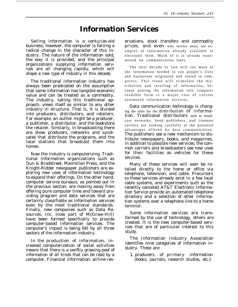## **Information Services**

Selling information is a centuries-old business; however, the computer is forcing a radical change in the character of this industry. The nature of the information sold, the way it is provided, and the principal organizations supplying information services are all changing rapidly, which will shape a new type of industry in this decade.

The traditional information industry has always been predicated on the assumption that some information has tangible economic value and can be treated as a commodity. The industry, taking this traditional approach, views itself as similar to any other industry in structure. That is, it is divided into producers, distributors, and retailers. For example, an author might be a producer, a publisher, a distributor, and the bookstore the retailer. Similarly, in broadcasting there are show producers, networks and syndicates that distribute the programs, and the local stations that broadcast them into homes.

Now the industry is computerizing. Traditional information organizations such as Dun & Bradstreet, Macmillan Press, and the Knight-Ridder newspaper publishers are exploring new uses of information technology to expand their offerings. On the other hand, computer service bureaus, as pointed out in the previous section, are moving away from offering pure computer time and toward providing program and data services that are certainly classifiable as information services even by the most traditional standards. Finally, new companies such as Data Resources, Inc. (now part of McGraw-Hill) have been formed specifically to provide computer-based information services. The computer's impact is being felt by all three sectors of the information industry.

In the *production* of information, increased computerization of social activities means that there is a swiftly growing pool of information of all kinds that can be read by a computer. Financial information, airline reservations, stock transfers and commodity prices, and even wire service news, are examples of information already available in electronic form. Much of it is already transmitted on communication lines.

The next decade or two will see most of the information needed to run people's lives and businesses originated and stored in computers. This trend will stimulate the distribution and retailing of information, be cause putting the information into computer readable form is a major cost of current automated information services.

Data communication technology is changing the rules for the *distribution* of information. Traditional distributors such as broadcast networks, book publishers, and common carriers are looking carefully at the potential advantages offered by data communication. The publishers see a new mechanism to distribute newspapers, books, and magazines, in addition to possible new services; the common carriers and broadcasters see new uses for their facilities as vehicles for these services.

Many of these services will soon be retailed directly to the home or office via telephone, television, and cable. Precursors to these services already exist in a few local cable systems, and experiments such as the recently canceled AT&T Electronic Information Service provide an automated telephone directory and a selection of other information systems over a telephone line to a home terminal.

Some information services are transformed by the use of technology, others are created. It is the new computer-based services that are of particular interest to this study.

The Information Industry Association identifies nine categories of information industry. These are:

1. producers of primary information (books, journals, research studies, etc.);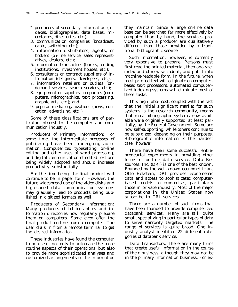- *2.* producers of secondary information (indexes, bibliographies, data bases, microforms, directories, etc.);
- 3. communication companies (broadcast, cable, switching, etc.);
- 4. information distributors, agents, or brokers (on-line service, sales representatives, dealers, etc.);
- 5. information transactors (banks, lending institutions, investment houses, etc.);
- 6. consultants or contract suppliers of information (designers, developers, etc.);
- 7. information retailers or outlets (ondemand services, search services, etc.);
- 8. equipment or supplies companies (computers, micrographics, text processing, graphic arts, etc.); and
- 9. popular media organizations (news, education, advertising, etc. )

Some of these classifications are of particular interest to the computer and communication industry.

Producers of Primary Information: For some time, the intermediate processes of publishing have been undergoing automation. Computerized typesetting, on-line editing and other uses of word processing, and digital communication of edited text are being widely adopted and should increase productivity substantially.

For the time being, the final product will continue to be in paper form. However, the future widespread use of the video disks and high-speed data communication systems may gradually lead to products being published in digitized formats as well.

Producers of Secondary Information: Many producers of bibliographies and information directories now regularly prepare them on computers. Some even offer the final product on-line from a computer. The user dials in from a remote terminal to get the desired information.

These industries have found the computer to be useful not only to automate the more routine aspects of their operations, but also to provide more sophisticated analyses and customized arrangements of the information they maintain. Since a large on-line data base can be searched far more effectively by computer than by hand, the services provided by such a producer are qualitatively different from those provided by a traditional bibliographic service.

Such information, however, is currently very expensive to prepare. Persons must first read the printed material, then analyze, index and otherwise code it, and put it into machine-readable form. In the future, when most printed text will originate on computerbased text processors, automated computerized indexing systems will eliminate most of these tasks.

This high labor cost, coupled with the fact that the initial significant market for such systems is the research community, means that most bibliographic systems now available were originally supported, at least partially, by the Federal Government. Some are now self-supporting, while others continue to be subsidized, depending on their purposes. Bibliographic information is the hardest case, however.

There have been some successful entrepreneurial experiments in providing other forms of on-line data service. Data Resources, Inc. (DRI) is one of the best known. Founded by the well-known econometrician, Otto Eckstein, DRI provides econometric data and access to sophisticated computerbased models to economists, particularly those in private industry. Most of the major corporations in the United States now subscribe to DRI services.

There are a number of such firms that have been founded to provide computerized databank services. Many are still quite small, specializing in particular types of data to serve narrowly targeted markets. The range of services is quite broad. One industry analyst identified 22 different categories of databank service.

Data Transactors: There are many firms that create useful information in the course of their business, although they may not be in the primary information business. For ex-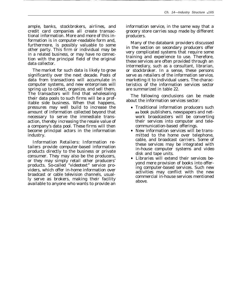ample, banks, stockbrokers, airlines, and credit card companies all create transactional information. More and more of this information is in computer-readable form and, furthermore, is possibly valuable to some other party. This firm or individual may be in a related business, or may have no connection with the principal field of the original data collector.

The market for such data is likely to grow significantly over the next decade. Pools of data from transactions will accumulate in computer systems, and new enterprises will spring up to collect, organize, and sell them. The transactors will find that wholesaling their data pools to such firms will be a profitable side business. When that happens, pressures may well build to increase the amount of information collected beyond that necessary to serve the immediate transaction, thereby increasing the resale value of a company's data pool. These firms will then become principal actors in the information industry.

Information Retailers: Information retailers provide computer-based information products directly to the business or private consumer. They may also be the producers, or they may simply retail other producers' products. So-called "videotext" service providers, which offer in-home information over broadcast or cable television channels, usually serve as brokers, making their facility available to anyone who wants to provide an

information service, in the same way that a grocery store carries soup made by different producers.

Many of the databank providers discussed in the section on secondary producers offer very complicated systems that require some training and experience to use. Therefore, these services are often provided through an intermediary, such as a consultant, librarian, or stockbroker. In a sense, these persons serve as retailers of the information service, marketing it to individual users. The characteristics of the information services sector are summarized in table 22.

The following conclusions can be made about the information services sector:

- Traditional information producers such **as** book publishers, newspapers and network broadcasters will be converting their services into computer and telecommunication-based offerings.
- New information services will be transmitted to the home over telephone, cable, and broadcast carriers. Some of these services may be integrated with in-house computer systems and video disk and tape units.
- Libraries will extend their services beyond mere provision of books into offering computer-based services. Such new activities may conflict with the new commercial in-house services mentioned above.